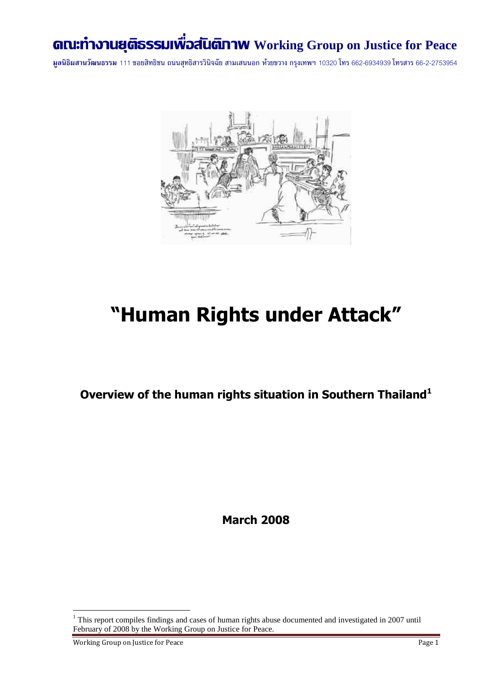## **คณะท างานยุติธรรมเพื่อสันติภาพ Working Group on Justice for Peace**

**มูลนิธิผสานวัฒนธรรม** 111 ซอยสิทธิชน ถนนสุทธิสารวินิจฉัย สามเสนนอก ห้วยขวาง กรุงเทพฯ 10320 โทร 662-6934939 โทรสาร 66-2-2753954



# **"Human Rights under Attack"**

**Overview of the human rights situation in Southern Thailand<sup>1</sup>**

**March 2008**

Working Group on Justice for Peace Page 1

 $1$ <sup>1</sup> This report compiles findings and cases of human rights abuse documented and investigated in 2007 until February of 2008 by the Working Group on Justice for Peace.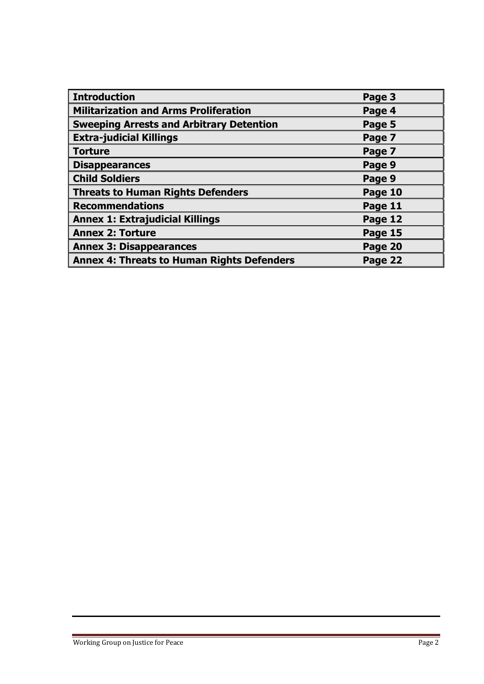| <b>Introduction</b>                               | Page 3  |
|---------------------------------------------------|---------|
| Militarization and Arms Proliferation             | Page 4  |
| <b>Sweeping Arrests and Arbitrary Detention</b>   | Page 5  |
| <b>Extra-judicial Killings</b>                    | Page 7  |
| Torture                                           | Page 7  |
| <b>Disappearances</b>                             | Page 9  |
| <b>Child Soldiers</b>                             | Page 9  |
| Threats to Human Rights Defenders                 | Page 10 |
| <b>Recommendations</b>                            | Page 11 |
| <b>Annex 1: Extrajudicial Killings</b>            | Page 12 |
| <b>Annex 2: Torture</b>                           | Page 15 |
| <b>Annex 3: Disappearances</b>                    | Page 20 |
| <b>Annex 4: Threats to Human Rights Defenders</b> | Page 22 |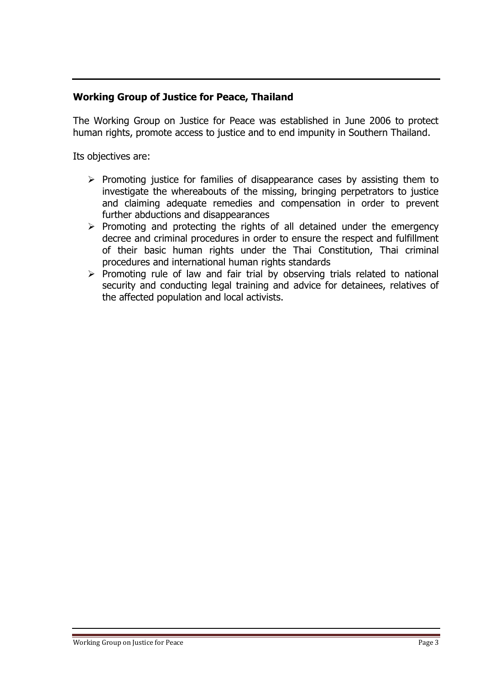### **Working Group of Justice for Peace, Thailand**

The Working Group on Justice for Peace was established in June 2006 to protect human rights, promote access to justice and to end impunity in Southern Thailand.

Its objectives are:

- $\triangleright$  Promoting justice for families of disappearance cases by assisting them to investigate the whereabouts of the missing, bringing perpetrators to justice and claiming adequate remedies and compensation in order to prevent further abductions and disappearances
- $\triangleright$  Promoting and protecting the rights of all detained under the emergency decree and criminal procedures in order to ensure the respect and fulfillment of their basic human rights under the Thai Constitution, Thai criminal procedures and international human rights standards
- $\triangleright$  Promoting rule of law and fair trial by observing trials related to national security and conducting legal training and advice for detainees, relatives of the affected population and local activists.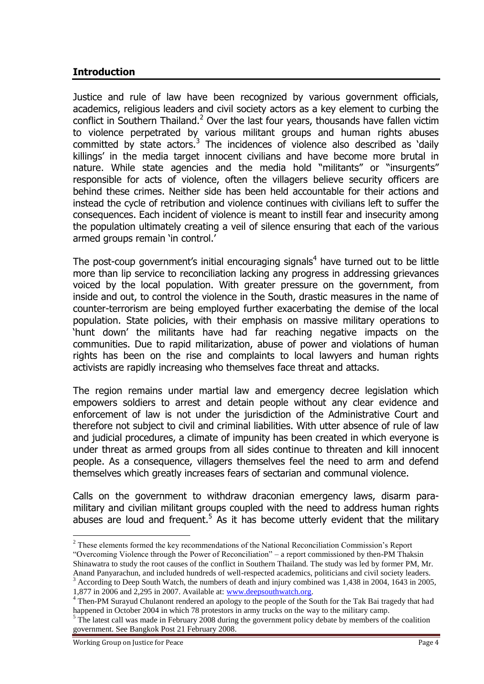#### **Introduction**

Justice and rule of law have been recognized by various government officials, academics, religious leaders and civil society actors as a key element to curbing the conflict in Southern Thailand.<sup>2</sup> Over the last four years, thousands have fallen victim to violence perpetrated by various militant groups and human rights abuses committed by state actors.<sup>3</sup> The incidences of violence also described as 'daily killings" in the media target innocent civilians and have become more brutal in nature. While state agencies and the media hold "militants" or "insurgents" responsible for acts of violence, often the villagers believe security officers are behind these crimes. Neither side has been held accountable for their actions and instead the cycle of retribution and violence continues with civilians left to suffer the consequences. Each incident of violence is meant to instill fear and insecurity among the population ultimately creating a veil of silence ensuring that each of the various armed groups remain 'in control.'

The post-coup government's initial encouraging signals<sup>4</sup> have turned out to be little more than lip service to reconciliation lacking any progress in addressing grievances voiced by the local population. With greater pressure on the government, from inside and out, to control the violence in the South, drastic measures in the name of counter-terrorism are being employed further exacerbating the demise of the local population. State policies, with their emphasis on massive military operations to "hunt down" the militants have had far reaching negative impacts on the communities. Due to rapid militarization, abuse of power and violations of human rights has been on the rise and complaints to local lawyers and human rights activists are rapidly increasing who themselves face threat and attacks.

The region remains under martial law and emergency decree legislation which empowers soldiers to arrest and detain people without any clear evidence and enforcement of law is not under the jurisdiction of the Administrative Court and therefore not subject to civil and criminal liabilities. With utter absence of rule of law and judicial procedures, a climate of impunity has been created in which everyone is under threat as armed groups from all sides continue to threaten and kill innocent people. As a consequence, villagers themselves feel the need to arm and defend themselves which greatly increases fears of sectarian and communal violence.

Calls on the government to withdraw draconian emergency laws, disarm paramilitary and civilian militant groups coupled with the need to address human rights abuses are loud and frequent.<sup>5</sup> As it has become utterly evident that the military

<sup>&</sup>lt;sup>2</sup> These elements formed the key recommendations of the National Reconciliation Commission's Report "Overcoming Violence through the Power of Reconciliation" – a report commissioned by then-PM Thaksin Shinawatra to study the root causes of the conflict in Southern Thailand. The study was led by former PM, Mr. Anand Panyarachun, and included hundreds of well-respected academics, politicians and civil society leaders.

<sup>3</sup> According to Deep South Watch, the numbers of death and injury combined was 1,438 in 2004, 1643 in 2005, 1,877 in 2006 and 2,295 in 2007. Available at: [www.deepsouthwatch.org.](http://www.deepsouthwatch.org/)

<sup>&</sup>lt;sup>4</sup> Then-PM Surayud Chulanont rendered an apology to the people of the South for the Tak Bai tragedy that had happened in October 2004 in which 78 protestors in army trucks on the way to the military camp.

<sup>&</sup>lt;sup>5</sup> The latest call was made in February 2008 during the government policy debate by members of the coalition government. See Bangkok Post 21 February 2008.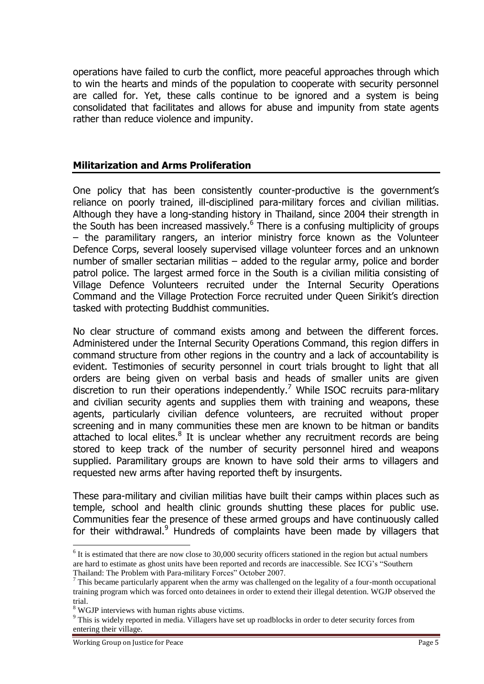operations have failed to curb the conflict, more peaceful approaches through which to win the hearts and minds of the population to cooperate with security personnel are called for. Yet, these calls continue to be ignored and a system is being consolidated that facilitates and allows for abuse and impunity from state agents rather than reduce violence and impunity.

#### **Militarization and Arms Proliferation**

One policy that has been consistently counter-productive is the government"s reliance on poorly trained, ill-disciplined para-military forces and civilian militias. Although they have a long-standing history in Thailand, since 2004 their strength in the South has been increased massively.<sup>6</sup> There is a confusing multiplicity of groups – the paramilitary rangers, an interior ministry force known as the Volunteer Defence Corps, several loosely supervised village volunteer forces and an unknown number of smaller sectarian militias – added to the regular army, police and border patrol police. The largest armed force in the South is a civilian militia consisting of Village Defence Volunteers recruited under the Internal Security Operations Command and the Village Protection Force recruited under Queen Sirikit's direction tasked with protecting Buddhist communities.

No clear structure of command exists among and between the different forces. Administered under the Internal Security Operations Command, this region differs in command structure from other regions in the country and a lack of accountability is evident. Testimonies of security personnel in court trials brought to light that all orders are being given on verbal basis and heads of smaller units are given discretion to run their operations independently.<sup>7</sup> While ISOC recruits para-military and civilian security agents and supplies them with training and weapons, these agents, particularly civilian defence volunteers, are recruited without proper screening and in many communities these men are known to be hitman or bandits attached to local elites. $8$  It is unclear whether any recruitment records are being stored to keep track of the number of security personnel hired and weapons supplied. Paramilitary groups are known to have sold their arms to villagers and requested new arms after having reported theft by insurgents.

These para-military and civilian militias have built their camps within places such as temple, school and health clinic grounds shutting these places for public use. Communities fear the presence of these armed groups and have continuously called for their withdrawal. $9$  Hundreds of complaints have been made by villagers that

 $<sup>6</sup>$  It is estimated that there are now close to 30,000 security officers stationed in the region but actual numbers</sup> are hard to estimate as ghost units have been reported and records are inaccessible. See ICG"s "Southern Thailand: The Problem with Para-military Forces" October 2007.

 $<sup>7</sup>$  This became particularly apparent when the army was challenged on the legality of a four-month occupational</sup> training program which was forced onto detainees in order to extend their illegal detention. WGJP observed the trial.

<sup>8</sup> WGJP interviews with human rights abuse victims.

<sup>&</sup>lt;sup>9</sup> This is widely reported in media. Villagers have set up roadblocks in order to deter security forces from entering their village.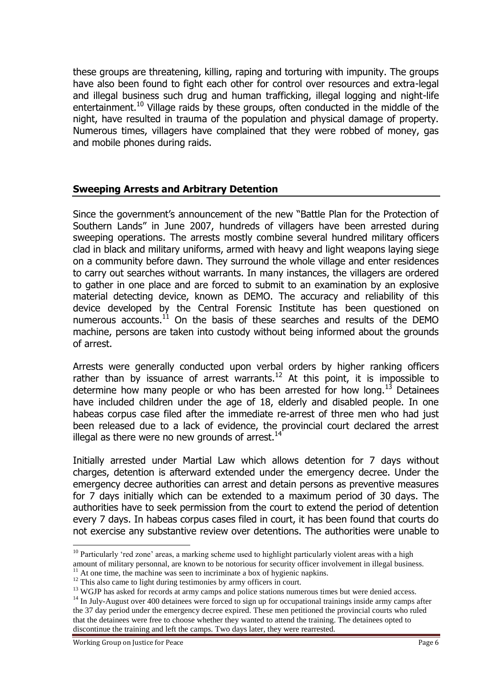these groups are threatening, killing, raping and torturing with impunity. The groups have also been found to fight each other for control over resources and extra-legal and illegal business such drug and human trafficking, illegal logging and night-life entertainment.<sup>10</sup> Village raids by these groups, often conducted in the middle of the night, have resulted in trauma of the population and physical damage of property. Numerous times, villagers have complained that they were robbed of money, gas and mobile phones during raids.

#### **Sweeping Arrests and Arbitrary Detention**

Since the government's announcement of the new "Battle Plan for the Protection of Southern Lands" in June 2007, hundreds of villagers have been arrested during sweeping operations. The arrests mostly combine several hundred military officers clad in black and military uniforms, armed with heavy and light weapons laying siege on a community before dawn. They surround the whole village and enter residences to carry out searches without warrants. In many instances, the villagers are ordered to gather in one place and are forced to submit to an examination by an explosive material detecting device, known as DEMO. The accuracy and reliability of this device developed by the Central Forensic Institute has been questioned on numerous accounts.<sup>11</sup> On the basis of these searches and results of the DEMO machine, persons are taken into custody without being informed about the grounds of arrest.

Arrests were generally conducted upon verbal orders by higher ranking officers rather than by issuance of arrest warrants.<sup>12</sup> At this point, it is impossible to determine how many people or who has been arrested for how long.<sup>13</sup> Detainees have included children under the age of 18, elderly and disabled people. In one habeas corpus case filed after the immediate re-arrest of three men who had just been released due to a lack of evidence, the provincial court declared the arrest illegal as there were no new grounds of arrest. $14$ 

Initially arrested under Martial Law which allows detention for 7 days without charges, detention is afterward extended under the emergency decree. Under the emergency decree authorities can arrest and detain persons as preventive measures for 7 days initially which can be extended to a maximum period of 30 days. The authorities have to seek permission from the court to extend the period of detention every 7 days. In habeas corpus cases filed in court, it has been found that courts do not exercise any substantive review over detentions. The authorities were unable to

<sup>&</sup>lt;sup>10</sup> Particularly 'red zone' areas, a marking scheme used to highlight particularly violent areas with a high amount of military personnal, are known to be notorious for security officer involvement in illegal business.

 $11$  At one time, the machine was seen to incriminate a box of hygienic napkins.

<sup>&</sup>lt;sup>12</sup> This also came to light during testimonies by army officers in court.

<sup>&</sup>lt;sup>13</sup> WGJP has asked for records at army camps and police stations numerous times but were denied access.

<sup>&</sup>lt;sup>14</sup> In July-August over 400 detainees were forced to sign up for occupational trainings inside army camps after the 37 day period under the emergency decree expired. These men petitioned the provincial courts who ruled that the detainees were free to choose whether they wanted to attend the training. The detainees opted to discontinue the training and left the camps. Two days later, they were rearrested.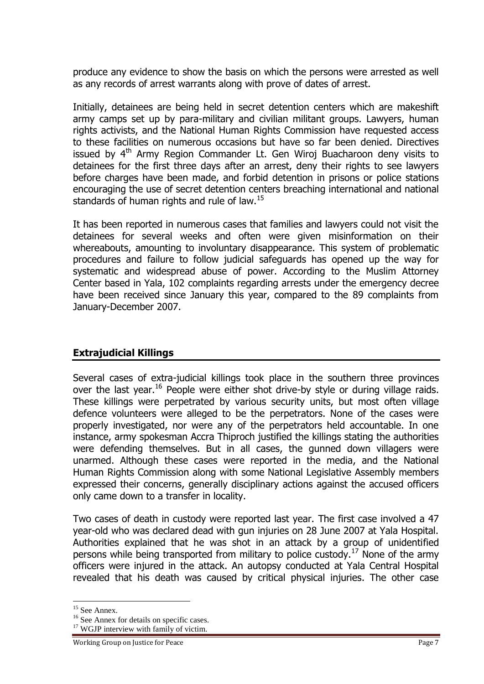produce any evidence to show the basis on which the persons were arrested as well as any records of arrest warrants along with prove of dates of arrest.

Initially, detainees are being held in secret detention centers which are makeshift army camps set up by para-military and civilian militant groups. Lawyers, human rights activists, and the National Human Rights Commission have requested access to these facilities on numerous occasions but have so far been denied. Directives issued by  $4<sup>th</sup>$  Army Region Commander Lt. Gen Wiroj Buacharoon deny visits to detainees for the first three days after an arrest, deny their rights to see lawyers before charges have been made, and forbid detention in prisons or police stations encouraging the use of secret detention centers breaching international and national standards of human rights and rule of law.<sup>15</sup>

It has been reported in numerous cases that families and lawyers could not visit the detainees for several weeks and often were given misinformation on their whereabouts, amounting to involuntary disappearance. This system of problematic procedures and failure to follow judicial safeguards has opened up the way for systematic and widespread abuse of power. According to the Muslim Attorney Center based in Yala, 102 complaints regarding arrests under the emergency decree have been received since January this year, compared to the 89 complaints from January-December 2007.

#### **Extrajudicial Killings**

Several cases of extra-judicial killings took place in the southern three provinces over the last year.<sup>16</sup> People were either shot drive-by style or during village raids. These killings were perpetrated by various security units, but most often village defence volunteers were alleged to be the perpetrators. None of the cases were properly investigated, nor were any of the perpetrators held accountable. In one instance, army spokesman Accra Thiproch justified the killings stating the authorities were defending themselves. But in all cases, the gunned down villagers were unarmed. Although these cases were reported in the media, and the National Human Rights Commission along with some National Legislative Assembly members expressed their concerns, generally disciplinary actions against the accused officers only came down to a transfer in locality.

Two cases of death in custody were reported last year. The first case involved a 47 year-old who was declared dead with gun injuries on 28 June 2007 at Yala Hospital. Authorities explained that he was shot in an attack by a group of unidentified persons while being transported from military to police custody.<sup>17</sup> None of the army officers were injured in the attack. An autopsy conducted at Yala Central Hospital revealed that his death was caused by critical physical injuries. The other case

<sup>&</sup>lt;sup>15</sup> See Annex.

<sup>&</sup>lt;sup>16</sup> See Annex for details on specific cases.

<sup>&</sup>lt;sup>17</sup> WGJP interview with family of victim.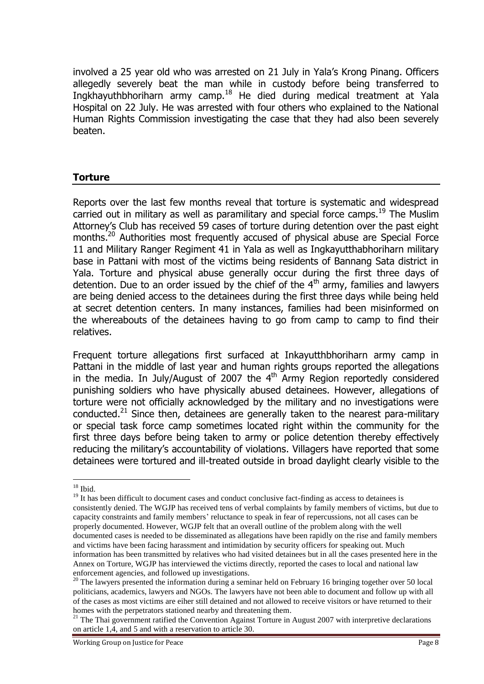involved a 25 year old who was arrested on 21 July in Yala"s Krong Pinang. Officers allegedly severely beat the man while in custody before being transferred to Ingkhayuthbhoriharn army camp.<sup>18</sup> He died during medical treatment at Yala Hospital on 22 July. He was arrested with four others who explained to the National Human Rights Commission investigating the case that they had also been severely beaten.

#### **Torture**

Reports over the last few months reveal that torture is systematic and widespread carried out in military as well as paramilitary and special force camps.<sup>19</sup> The Muslim Attorney"s Club has received 59 cases of torture during detention over the past eight months.<sup>20</sup> Authorities most frequently accused of physical abuse are Special Force 11 and Military Ranger Regiment 41 in Yala as well as Ingkayutthabhoriharn military base in Pattani with most of the victims being residents of Bannang Sata district in Yala. Torture and physical abuse generally occur during the first three days of detention. Due to an order issued by the chief of the  $4<sup>th</sup>$  army, families and lawyers are being denied access to the detainees during the first three days while being held at secret detention centers. In many instances, families had been misinformed on the whereabouts of the detainees having to go from camp to camp to find their relatives.

Frequent torture allegations first surfaced at Inkayutthbhoriharn army camp in Pattani in the middle of last year and human rights groups reported the allegations in the media. In July/August of 2007 the  $4<sup>th</sup>$  Army Region reportedly considered punishing soldiers who have physically abused detainees. However, allegations of torture were not officially acknowledged by the military and no investigations were conducted.<sup>21</sup> Since then, detainees are generally taken to the nearest para-military or special task force camp sometimes located right within the community for the first three days before being taken to army or police detention thereby effectively reducing the military's accountability of violations. Villagers have reported that some detainees were tortured and ill-treated outside in broad daylight clearly visible to the

 $18$  Ibid.

<sup>&</sup>lt;sup>19</sup> It has been difficult to document cases and conduct conclusive fact-finding as access to detainees is consistently denied. The WGJP has received tens of verbal complaints by family members of victims, but due to capacity constraints and family members" reluctance to speak in fear of repercussions, not all cases can be properly documented. However, WGJP felt that an overall outline of the problem along with the well documented cases is needed to be disseminated as allegations have been rapidly on the rise and family members and victims have been facing harassment and intimidation by security officers for speaking out. Much information has been transmitted by relatives who had visited detainees but in all the cases presented here in the Annex on Torture, WGJP has interviewed the victims directly, reported the cases to local and national law enforcement agencies, and followed up investigations.

<sup>&</sup>lt;sup>20</sup> The lawyers presented the information during a seminar held on February 16 bringing together over 50 local politicians, academics, lawyers and NGOs. The lawyers have not been able to document and follow up with all of the cases as most victims are eiher still detained and not allowed to receive visitors or have returned to their homes with the perpetrators stationed nearby and threatening them.

<sup>&</sup>lt;sup>21</sup> The Thai government ratified the Convention Against Torture in August 2007 with interpretive declarations on article 1,4, and 5 and with a reservation to article 30.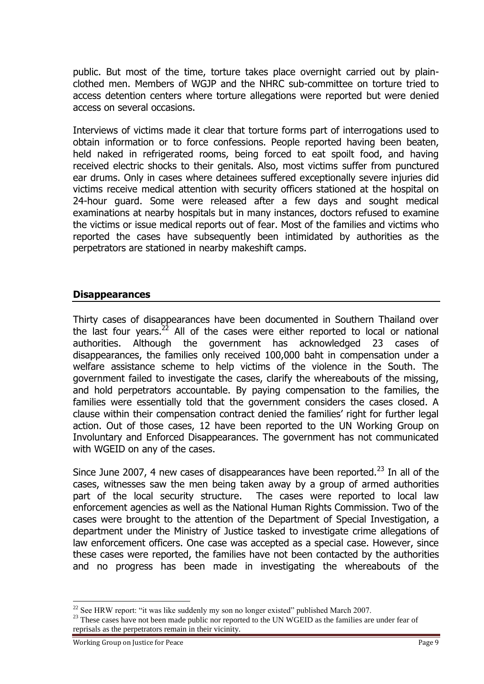public. But most of the time, torture takes place overnight carried out by plainclothed men. Members of WGJP and the NHRC sub-committee on torture tried to access detention centers where torture allegations were reported but were denied access on several occasions.

Interviews of victims made it clear that torture forms part of interrogations used to obtain information or to force confessions. People reported having been beaten, held naked in refrigerated rooms, being forced to eat spoilt food, and having received electric shocks to their genitals. Also, most victims suffer from punctured ear drums. Only in cases where detainees suffered exceptionally severe injuries did victims receive medical attention with security officers stationed at the hospital on 24-hour guard. Some were released after a few days and sought medical examinations at nearby hospitals but in many instances, doctors refused to examine the victims or issue medical reports out of fear. Most of the families and victims who reported the cases have subsequently been intimidated by authorities as the perpetrators are stationed in nearby makeshift camps.

#### **Disappearances**

Thirty cases of disappearances have been documented in Southern Thailand over the last four years.<sup>22</sup> All of the cases were either reported to local or national authorities. Although the government has acknowledged 23 cases of disappearances, the families only received 100,000 baht in compensation under a welfare assistance scheme to help victims of the violence in the South. The government failed to investigate the cases, clarify the whereabouts of the missing, and hold perpetrators accountable. By paying compensation to the families, the families were essentially told that the government considers the cases closed. A clause within their compensation contract denied the families' right for further legal action. Out of those cases, 12 have been reported to the UN Working Group on Involuntary and Enforced Disappearances. The government has not communicated with WGEID on any of the cases.

Since June 2007, 4 new cases of disappearances have been reported.<sup>23</sup> In all of the cases, witnesses saw the men being taken away by a group of armed authorities part of the local security structure. The cases were reported to local law enforcement agencies as well as the National Human Rights Commission. Two of the cases were brought to the attention of the Department of Special Investigation, a department under the Ministry of Justice tasked to investigate crime allegations of law enforcement officers. One case was accepted as a special case. However, since these cases were reported, the families have not been contacted by the authorities and no progress has been made in investigating the whereabouts of the

<sup>&</sup>lt;sup>22</sup> See HRW report: "it was like suddenly my son no longer existed" published March 2007.

<sup>&</sup>lt;sup>23</sup> These cases have not been made public nor reported to the UN WGEID as the families are under fear of reprisals as the perpetrators remain in their vicinity.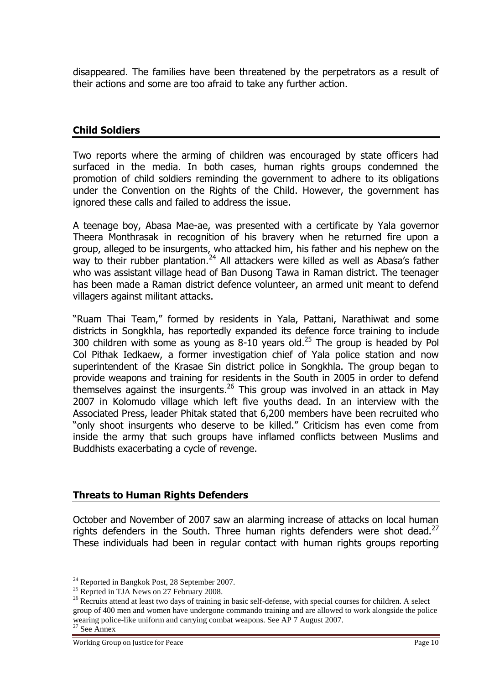disappeared. The families have been threatened by the perpetrators as a result of their actions and some are too afraid to take any further action.

#### **Child Soldiers**

Two reports where the arming of children was encouraged by state officers had surfaced in the media. In both cases, human rights groups condemned the promotion of child soldiers reminding the government to adhere to its obligations under the Convention on the Rights of the Child. However, the government has ignored these calls and failed to address the issue.

A teenage boy, Abasa Mae-ae, was presented with a certificate by Yala governor Theera Monthrasak in recognition of his bravery when he returned fire upon a group, alleged to be insurgents, who attacked him, his father and his nephew on the way to their rubber plantation.<sup>24</sup> All attackers were killed as well as Abasa's father who was assistant village head of Ban Dusong Tawa in Raman district. The teenager has been made a Raman district defence volunteer, an armed unit meant to defend villagers against militant attacks.

"Ruam Thai Team," formed by residents in Yala, Pattani, Narathiwat and some districts in Songkhla, has reportedly expanded its defence force training to include 300 children with some as young as  $8-10$  years old.<sup>25</sup> The group is headed by Pol Col Pithak Iedkaew, a former investigation chief of Yala police station and now superintendent of the Krasae Sin district police in Songkhla. The group began to provide weapons and training for residents in the South in 2005 in order to defend themselves against the insurgents.<sup>26</sup> This group was involved in an attack in May 2007 in Kolomudo village which left five youths dead. In an interview with the Associated Press, leader Phitak stated that 6,200 members have been recruited who "only shoot insurgents who deserve to be killed." Criticism has even come from inside the army that such groups have inflamed conflicts between Muslims and Buddhists exacerbating a cycle of revenge.

#### **Threats to Human Rights Defenders**

October and November of 2007 saw an alarming increase of attacks on local human rights defenders in the South. Three human rights defenders were shot dead.<sup>27</sup> These individuals had been in regular contact with human rights groups reporting

 $24$  Reported in Bangkok Post, 28 September 2007.

 $^{25}$  Reprted in TJA News on 27 February 2008.

<sup>&</sup>lt;sup>26</sup> Recruits attend at least two days of training in basic self-defense, with special courses for children. A select group of 400 men and women have undergone commando training and are allowed to work alongside the police wearing police-like uniform and carrying combat weapons. See AP 7 August 2007. <sup>27</sup> See Annex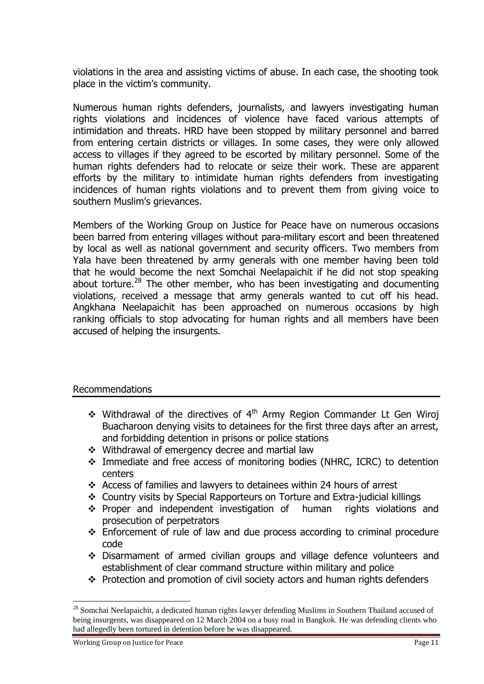violations in the area and assisting victims of abuse. In each case, the shooting took place in the victim's community.

Numerous human rights defenders, journalists, and lawyers investigating human rights violations and incidences of violence have faced various attempts of intimidation and threats. HRD have been stopped by military personnel and barred from entering certain districts or villages. In some cases, they were only allowed access to villages if they agreed to be escorted by military personnel. Some of the human rights defenders had to relocate or seize their work. These are apparent efforts by the military to intimidate human rights defenders from investigating incidences of human rights violations and to prevent them from giving voice to southern Muslim's grievances.

Members of the Working Group on Justice for Peace have on numerous occasions been barred from entering villages without para-military escort and been threatened by local as well as national government and security officers. Two members from Yala have been threatened by army generals with one member having been told that he would become the next Somchai Neelapaichit if he did not stop speaking about torture.<sup>28</sup> The other member, who has been investigating and documenting violations, received a message that army generals wanted to cut off his head. Angkhana Neelapaichit has been approached on numerous occasions by high ranking officials to stop advocating for human rights and all members have been accused of helping the insurgents.

#### Recommendations

- $\cdot$  Withdrawal of the directives of 4<sup>th</sup> Army Region Commander Lt Gen Wiroj Buacharoon denying visits to detainees for the first three days after an arrest, and forbidding detention in prisons or police stations
- Withdrawal of emergency decree and martial law
- Immediate and free access of monitoring bodies (NHRC, ICRC) to detention centers
- Access of families and lawyers to detainees within 24 hours of arrest
- Country visits by Special Rapporteurs on Torture and Extra-judicial killings
- \* Proper and independent investigation of human rights violations and prosecution of perpetrators
- $\div$  Enforcement of rule of law and due process according to criminal procedure code
- Disarmament of armed civilian groups and village defence volunteers and establishment of clear command structure within military and police
- Protection and promotion of civil society actors and human rights defenders

<sup>&</sup>lt;sup>28</sup> Somchai Neelapaichit, a dedicated human rights lawyer defending Muslims in Southern Thailand accused of being insurgents, was disappeared on 12 March 2004 on a busy road in Bangkok. He was defending clients who had allegedly been tortured in detention before he was disappeared.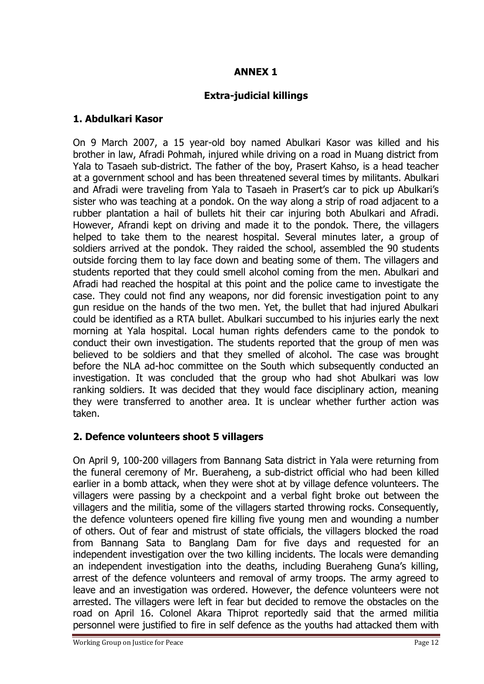## **ANNEX 1**

## **Extra-judicial killings**

#### **1. Abdulkari Kasor**

On 9 March 2007, a 15 year-old boy named Abulkari Kasor was killed and his brother in law, Afradi Pohmah, injured while driving on a road in Muang district from Yala to Tasaeh sub-district. The father of the boy, Prasert Kahso, is a head teacher at a government school and has been threatened several times by militants. Abulkari and Afradi were traveling from Yala to Tasaeh in Prasert"s car to pick up Abulkari"s sister who was teaching at a pondok. On the way along a strip of road adjacent to a rubber plantation a hail of bullets hit their car injuring both Abulkari and Afradi. However, Afrandi kept on driving and made it to the pondok. There, the villagers helped to take them to the nearest hospital. Several minutes later, a group of soldiers arrived at the pondok. They raided the school, assembled the 90 students outside forcing them to lay face down and beating some of them. The villagers and students reported that they could smell alcohol coming from the men. Abulkari and Afradi had reached the hospital at this point and the police came to investigate the case. They could not find any weapons, nor did forensic investigation point to any gun residue on the hands of the two men. Yet, the bullet that had injured Abulkari could be identified as a RTA bullet. Abulkari succumbed to his injuries early the next morning at Yala hospital. Local human rights defenders came to the pondok to conduct their own investigation. The students reported that the group of men was believed to be soldiers and that they smelled of alcohol. The case was brought before the NLA ad-hoc committee on the South which subsequently conducted an investigation. It was concluded that the group who had shot Abulkari was low ranking soldiers. It was decided that they would face disciplinary action, meaning they were transferred to another area. It is unclear whether further action was taken.

### **2. Defence volunteers shoot 5 villagers**

On April 9, 100-200 villagers from Bannang Sata district in Yala were returning from the funeral ceremony of Mr. Bueraheng, a sub-district official who had been killed earlier in a bomb attack, when they were shot at by village defence volunteers. The villagers were passing by a checkpoint and a verbal fight broke out between the villagers and the militia, some of the villagers started throwing rocks. Consequently, the defence volunteers opened fire killing five young men and wounding a number of others. Out of fear and mistrust of state officials, the villagers blocked the road from Bannang Sata to Banglang Dam for five days and requested for an independent investigation over the two killing incidents. The locals were demanding an independent investigation into the deaths, including Bueraheng Guna's killing, arrest of the defence volunteers and removal of army troops. The army agreed to leave and an investigation was ordered. However, the defence volunteers were not arrested. The villagers were left in fear but decided to remove the obstacles on the road on April 16. Colonel Akara Thiprot reportedly said that the armed militia personnel were justified to fire in self defence as the youths had attacked them with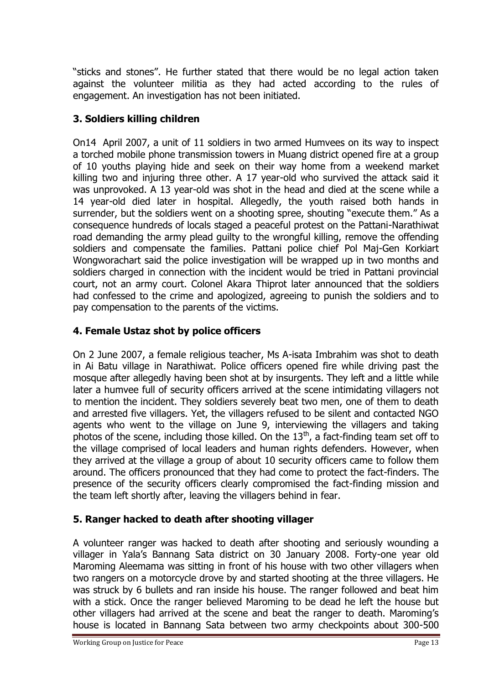"sticks and stones". He further stated that there would be no legal action taken against the volunteer militia as they had acted according to the rules of engagement. An investigation has not been initiated.

## **3. Soldiers killing children**

On14 April 2007, a unit of 11 soldiers in two armed Humvees on its way to inspect a torched mobile phone transmission towers in Muang district opened fire at a group of 10 youths playing hide and seek on their way home from a weekend market killing two and injuring three other. A 17 year-old who survived the attack said it was unprovoked. A 13 year-old was shot in the head and died at the scene while a 14 year-old died later in hospital. Allegedly, the youth raised both hands in surrender, but the soldiers went on a shooting spree, shouting "execute them." As a consequence hundreds of locals staged a peaceful protest on the Pattani-Narathiwat road demanding the army plead guilty to the wrongful killing, remove the offending soldiers and compensate the families. Pattani police chief Pol Maj-Gen Korkiart Wongworachart said the police investigation will be wrapped up in two months and soldiers charged in connection with the incident would be tried in Pattani provincial court, not an army court. Colonel Akara Thiprot later announced that the soldiers had confessed to the crime and apologized, agreeing to punish the soldiers and to pay compensation to the parents of the victims.

## **4. Female Ustaz shot by police officers**

On 2 June 2007, a female religious teacher, Ms A-isata Imbrahim was shot to death in Ai Batu village in Narathiwat. Police officers opened fire while driving past the mosque after allegedly having been shot at by insurgents. They left and a little while later a humvee full of security officers arrived at the scene intimidating villagers not to mention the incident. They soldiers severely beat two men, one of them to death and arrested five villagers. Yet, the villagers refused to be silent and contacted NGO agents who went to the village on June 9, interviewing the villagers and taking photos of the scene, including those killed. On the  $13<sup>th</sup>$ , a fact-finding team set off to the village comprised of local leaders and human rights defenders. However, when they arrived at the village a group of about 10 security officers came to follow them around. The officers pronounced that they had come to protect the fact-finders. The presence of the security officers clearly compromised the fact-finding mission and the team left shortly after, leaving the villagers behind in fear.

## **5. Ranger hacked to death after shooting villager**

A volunteer ranger was hacked to death after shooting and seriously wounding a villager in Yala"s Bannang Sata district on 30 January 2008. Forty-one year old Maroming Aleemama was sitting in front of his house with two other villagers when two rangers on a motorcycle drove by and started shooting at the three villagers. He was struck by 6 bullets and ran inside his house. The ranger followed and beat him with a stick. Once the ranger believed Maroming to be dead he left the house but other villagers had arrived at the scene and beat the ranger to death. Maroming"s house is located in Bannang Sata between two army checkpoints about 300-500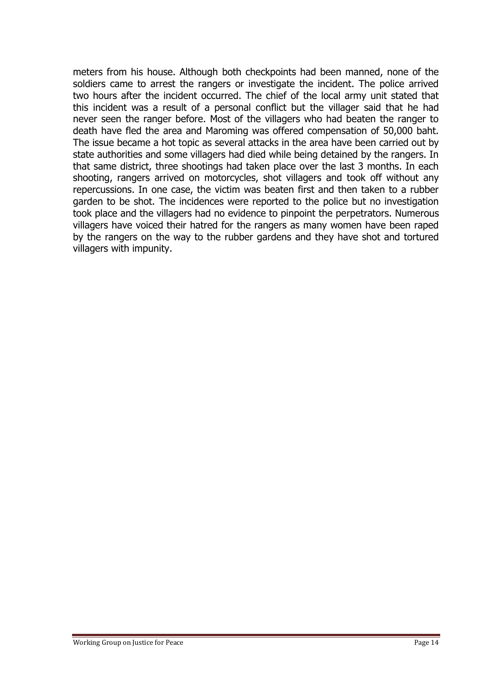meters from his house. Although both checkpoints had been manned, none of the soldiers came to arrest the rangers or investigate the incident. The police arrived two hours after the incident occurred. The chief of the local army unit stated that this incident was a result of a personal conflict but the villager said that he had never seen the ranger before. Most of the villagers who had beaten the ranger to death have fled the area and Maroming was offered compensation of 50,000 baht. The issue became a hot topic as several attacks in the area have been carried out by state authorities and some villagers had died while being detained by the rangers. In that same district, three shootings had taken place over the last 3 months. In each shooting, rangers arrived on motorcycles, shot villagers and took off without any repercussions. In one case, the victim was beaten first and then taken to a rubber garden to be shot. The incidences were reported to the police but no investigation took place and the villagers had no evidence to pinpoint the perpetrators. Numerous villagers have voiced their hatred for the rangers as many women have been raped by the rangers on the way to the rubber gardens and they have shot and tortured villagers with impunity.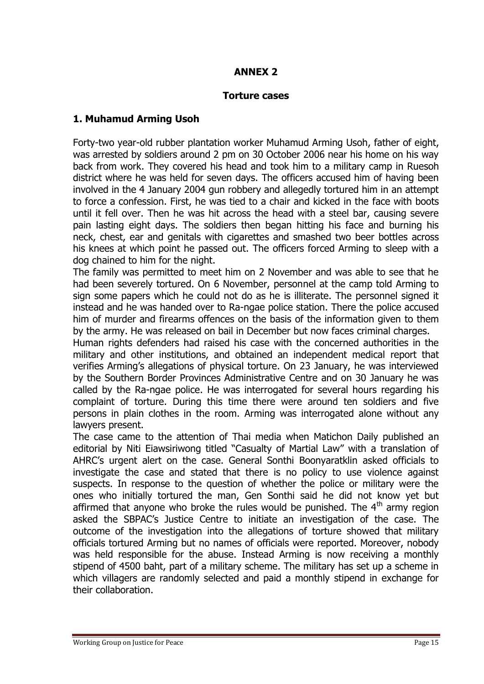### **ANNEX 2**

#### **Torture cases**

#### **1. Muhamud Arming Usoh**

Forty-two year-old rubber plantation worker Muhamud Arming Usoh, father of eight, was arrested by soldiers around 2 pm on 30 October 2006 near his home on his way back from work. They covered his head and took him to a military camp in Ruesoh district where he was held for seven days. The officers accused him of having been involved in the 4 January 2004 gun robbery and allegedly tortured him in an attempt to force a confession. First, he was tied to a chair and kicked in the face with boots until it fell over. Then he was hit across the head with a steel bar, causing severe pain lasting eight days. The soldiers then began hitting his face and burning his neck, chest, ear and genitals with cigarettes and smashed two beer bottles across his knees at which point he passed out. The officers forced Arming to sleep with a dog chained to him for the night.

The family was permitted to meet him on 2 November and was able to see that he had been severely tortured. On 6 November, personnel at the camp told Arming to sign some papers which he could not do as he is illiterate. The personnel signed it instead and he was handed over to Ra-ngae police station. There the police accused him of murder and firearms offences on the basis of the information given to them by the army. He was released on bail in December but now faces criminal charges.

Human rights defenders had raised his case with the concerned authorities in the military and other institutions, and obtained an independent medical report that verifies Arming"s allegations of physical torture. On 23 January, he was interviewed by the Southern Border Provinces Administrative Centre and on 30 January he was called by the Ra-ngae police. He was interrogated for several hours regarding his complaint of torture. During this time there were around ten soldiers and five persons in plain clothes in the room. Arming was interrogated alone without any lawyers present.

The case came to the attention of Thai media when Matichon Daily published an editorial by Niti Eiawsiriwong titled "Casualty of Martial Law" with a translation of AHRC"s urgent alert on the case. General Sonthi Boonyaratklin asked officials to investigate the case and stated that there is no policy to use violence against suspects. In response to the question of whether the police or military were the ones who initially tortured the man, Gen Sonthi said he did not know yet but affirmed that anyone who broke the rules would be punished. The  $4<sup>th</sup>$  army region asked the SBPAC"s Justice Centre to initiate an investigation of the case. The outcome of the investigation into the allegations of torture showed that military officials tortured Arming but no names of officials were reported. Moreover, nobody was held responsible for the abuse. Instead Arming is now receiving a monthly stipend of 4500 baht, part of a military scheme. The military has set up a scheme in which villagers are randomly selected and paid a monthly stipend in exchange for their collaboration.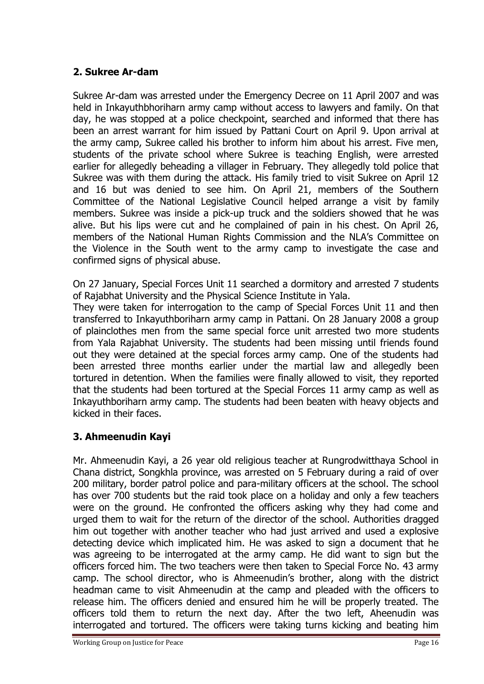## **2. Sukree Ar-dam**

Sukree Ar-dam was arrested under the Emergency Decree on 11 April 2007 and was held in Inkayuthbhoriharn army camp without access to lawyers and family. On that day, he was stopped at a police checkpoint, searched and informed that there has been an arrest warrant for him issued by Pattani Court on April 9. Upon arrival at the army camp, Sukree called his brother to inform him about his arrest. Five men, students of the private school where Sukree is teaching English, were arrested earlier for allegedly beheading a villager in February. They allegedly told police that Sukree was with them during the attack. His family tried to visit Sukree on April 12 and 16 but was denied to see him. On April 21, members of the Southern Committee of the National Legislative Council helped arrange a visit by family members. Sukree was inside a pick-up truck and the soldiers showed that he was alive. But his lips were cut and he complained of pain in his chest. On April 26, members of the National Human Rights Commission and the NLA"s Committee on the Violence in the South went to the army camp to investigate the case and confirmed signs of physical abuse.

On 27 January, Special Forces Unit 11 searched a dormitory and arrested 7 students of Rajabhat University and the Physical Science Institute in Yala.

They were taken for interrogation to the camp of Special Forces Unit 11 and then transferred to Inkayuthboriharn army camp in Pattani. On 28 January 2008 a group of plainclothes men from the same special force unit arrested two more students from Yala Rajabhat University. The students had been missing until friends found out they were detained at the special forces army camp. One of the students had been arrested three months earlier under the martial law and allegedly been tortured in detention. When the families were finally allowed to visit, they reported that the students had been tortured at the Special Forces 11 army camp as well as Inkayuthboriharn army camp. The students had been beaten with heavy objects and kicked in their faces.

### **3. Ahmeenudin Kayi**

Mr. Ahmeenudin Kayi, a 26 year old religious teacher at Rungrodwitthaya School in Chana district, Songkhla province, was arrested on 5 February during a raid of over 200 military, border patrol police and para-military officers at the school. The school has over 700 students but the raid took place on a holiday and only a few teachers were on the ground. He confronted the officers asking why they had come and urged them to wait for the return of the director of the school. Authorities dragged him out together with another teacher who had just arrived and used a explosive detecting device which implicated him. He was asked to sign a document that he was agreeing to be interrogated at the army camp. He did want to sign but the officers forced him. The two teachers were then taken to Special Force No. 43 army camp. The school director, who is Ahmeenudin"s brother, along with the district headman came to visit Ahmeenudin at the camp and pleaded with the officers to release him. The officers denied and ensured him he will be properly treated. The officers told them to return the next day. After the two left, Aheenudin was interrogated and tortured. The officers were taking turns kicking and beating him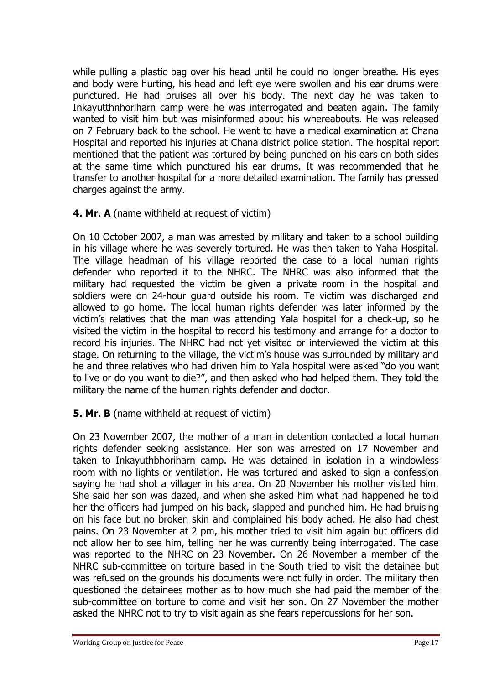while pulling a plastic bag over his head until he could no longer breathe. His eyes and body were hurting, his head and left eye were swollen and his ear drums were punctured. He had bruises all over his body. The next day he was taken to Inkayutthnhoriharn camp were he was interrogated and beaten again. The family wanted to visit him but was misinformed about his whereabouts. He was released on 7 February back to the school. He went to have a medical examination at Chana Hospital and reported his injuries at Chana district police station. The hospital report mentioned that the patient was tortured by being punched on his ears on both sides at the same time which punctured his ear drums. It was recommended that he transfer to another hospital for a more detailed examination. The family has pressed charges against the army.

**4. Mr. A** (name withheld at request of victim)

On 10 October 2007, a man was arrested by military and taken to a school building in his village where he was severely tortured. He was then taken to Yaha Hospital. The village headman of his village reported the case to a local human rights defender who reported it to the NHRC. The NHRC was also informed that the military had requested the victim be given a private room in the hospital and soldiers were on 24-hour guard outside his room. Te victim was discharged and allowed to go home. The local human rights defender was later informed by the victim"s relatives that the man was attending Yala hospital for a check-up, so he visited the victim in the hospital to record his testimony and arrange for a doctor to record his injuries. The NHRC had not yet visited or interviewed the victim at this stage. On returning to the village, the victim"s house was surrounded by military and he and three relatives who had driven him to Yala hospital were asked "do you want to live or do you want to die?", and then asked who had helped them. They told the military the name of the human rights defender and doctor.

## **5. Mr. B** (name withheld at request of victim)

On 23 November 2007, the mother of a man in detention contacted a local human rights defender seeking assistance. Her son was arrested on 17 November and taken to Inkayuthbhoriharn camp. He was detained in isolation in a windowless room with no lights or ventilation. He was tortured and asked to sign a confession saying he had shot a villager in his area. On 20 November his mother visited him. She said her son was dazed, and when she asked him what had happened he told her the officers had jumped on his back, slapped and punched him. He had bruising on his face but no broken skin and complained his body ached. He also had chest pains. On 23 November at 2 pm, his mother tried to visit him again but officers did not allow her to see him, telling her he was currently being interrogated. The case was reported to the NHRC on 23 November. On 26 November a member of the NHRC sub-committee on torture based in the South tried to visit the detainee but was refused on the grounds his documents were not fully in order. The military then questioned the detainees mother as to how much she had paid the member of the sub-committee on torture to come and visit her son. On 27 November the mother asked the NHRC not to try to visit again as she fears repercussions for her son.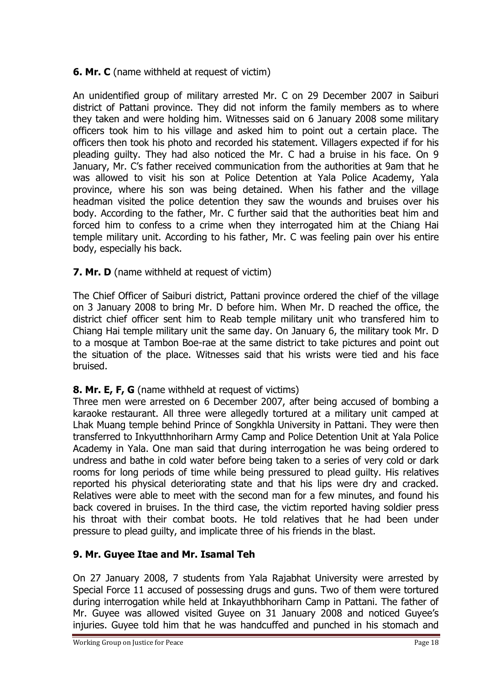## **6. Mr. C** (name withheld at request of victim)

An unidentified group of military arrested Mr. C on 29 December 2007 in Saiburi district of Pattani province. They did not inform the family members as to where they taken and were holding him. Witnesses said on 6 January 2008 some military officers took him to his village and asked him to point out a certain place. The officers then took his photo and recorded his statement. Villagers expected if for his pleading guilty. They had also noticed the Mr. C had a bruise in his face. On 9 January, Mr. C"s father received communication from the authorities at 9am that he was allowed to visit his son at Police Detention at Yala Police Academy, Yala province, where his son was being detained. When his father and the village headman visited the police detention they saw the wounds and bruises over his body. According to the father, Mr. C further said that the authorities beat him and forced him to confess to a crime when they interrogated him at the Chiang Hai temple military unit. According to his father, Mr. C was feeling pain over his entire body, especially his back.

### **7. Mr. D** (name withheld at request of victim)

The Chief Officer of Saiburi district, Pattani province ordered the chief of the village on 3 January 2008 to bring Mr. D before him. When Mr. D reached the office, the district chief officer sent him to Reab temple military unit who transfered him to Chiang Hai temple military unit the same day. On January 6, the military took Mr. D to a mosque at Tambon Boe-rae at the same district to take pictures and point out the situation of the place. Witnesses said that his wrists were tied and his face bruised.

## **8. Mr. E, F, G** (name withheld at request of victims)

Three men were arrested on 6 December 2007, after being accused of bombing a karaoke restaurant. All three were allegedly tortured at a military unit camped at Lhak Muang temple behind Prince of Songkhla University in Pattani. They were then transferred to Inkyutthnhoriharn Army Camp and Police Detention Unit at Yala Police Academy in Yala. One man said that during interrogation he was being ordered to undress and bathe in cold water before being taken to a series of very cold or dark rooms for long periods of time while being pressured to plead guilty. His relatives reported his physical deteriorating state and that his lips were dry and cracked. Relatives were able to meet with the second man for a few minutes, and found his back covered in bruises. In the third case, the victim reported having soldier press his throat with their combat boots. He told relatives that he had been under pressure to plead guilty, and implicate three of his friends in the blast.

## **9. Mr. Guyee Itae and Mr. Isamal Teh**

On 27 January 2008, 7 students from Yala Rajabhat University were arrested by Special Force 11 accused of possessing drugs and guns. Two of them were tortured during interrogation while held at Inkayuthbhoriharn Camp in Pattani. The father of Mr. Guyee was allowed visited Guyee on 31 January 2008 and noticed Guyee"s injuries. Guyee told him that he was handcuffed and punched in his stomach and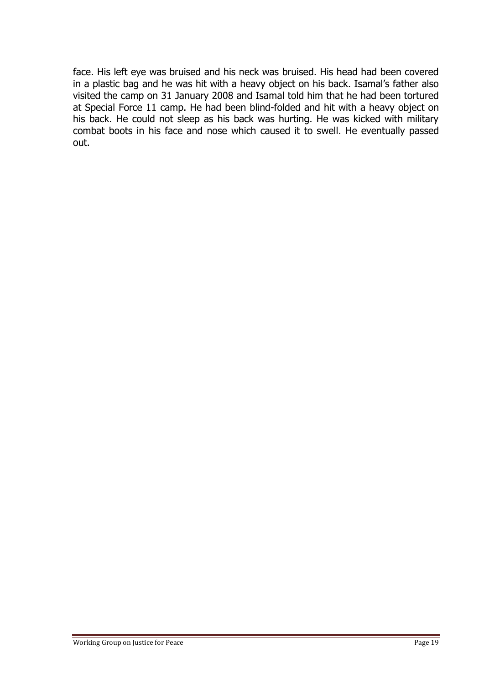face. His left eye was bruised and his neck was bruised. His head had been covered in a plastic bag and he was hit with a heavy object on his back. Isamal"s father also visited the camp on 31 January 2008 and Isamal told him that he had been tortured at Special Force 11 camp. He had been blind-folded and hit with a heavy object on his back. He could not sleep as his back was hurting. He was kicked with military combat boots in his face and nose which caused it to swell. He eventually passed out.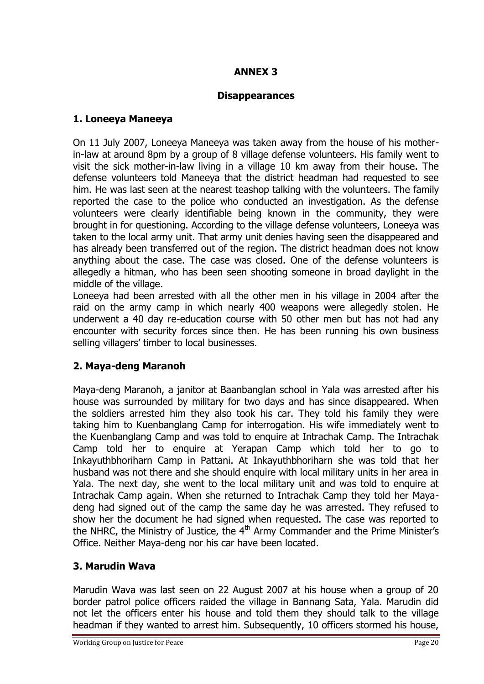## **ANNEX 3**

## **Disappearances**

### **1. Loneeya Maneeya**

On 11 July 2007, Loneeya Maneeya was taken away from the house of his motherin-law at around 8pm by a group of 8 village defense volunteers. His family went to visit the sick mother-in-law living in a village 10 km away from their house. The defense volunteers told Maneeya that the district headman had requested to see him. He was last seen at the nearest teashop talking with the volunteers. The family reported the case to the police who conducted an investigation. As the defense volunteers were clearly identifiable being known in the community, they were brought in for questioning. According to the village defense volunteers, Loneeya was taken to the local army unit. That army unit denies having seen the disappeared and has already been transferred out of the region. The district headman does not know anything about the case. The case was closed. One of the defense volunteers is allegedly a hitman, who has been seen shooting someone in broad daylight in the middle of the village.

Loneeya had been arrested with all the other men in his village in 2004 after the raid on the army camp in which nearly 400 weapons were allegedly stolen. He underwent a 40 day re-education course with 50 other men but has not had any encounter with security forces since then. He has been running his own business selling villagers' timber to local businesses.

## **2. Maya-deng Maranoh**

Maya-deng Maranoh, a janitor at Baanbanglan school in Yala was arrested after his house was surrounded by military for two days and has since disappeared. When the soldiers arrested him they also took his car. They told his family they were taking him to Kuenbanglang Camp for interrogation. His wife immediately went to the Kuenbanglang Camp and was told to enquire at Intrachak Camp. The Intrachak Camp told her to enquire at Yerapan Camp which told her to go to Inkayuthbhoriharn Camp in Pattani. At Inkayuthbhoriharn she was told that her husband was not there and she should enquire with local military units in her area in Yala. The next day, she went to the local military unit and was told to enquire at Intrachak Camp again. When she returned to Intrachak Camp they told her Mayadeng had signed out of the camp the same day he was arrested. They refused to show her the document he had signed when requested. The case was reported to the NHRC, the Ministry of Justice, the  $4<sup>th</sup>$  Army Commander and the Prime Minister's Office. Neither Maya-deng nor his car have been located.

## **3. Marudin Wava**

Marudin Wava was last seen on 22 August 2007 at his house when a group of 20 border patrol police officers raided the village in Bannang Sata, Yala. Marudin did not let the officers enter his house and told them they should talk to the village headman if they wanted to arrest him. Subsequently, 10 officers stormed his house,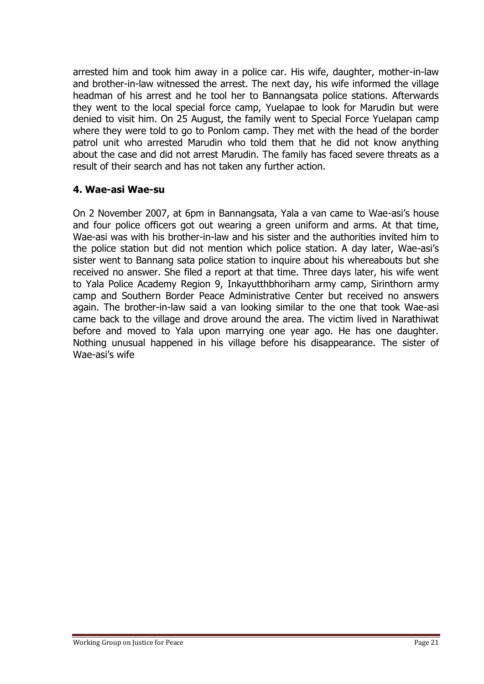arrested him and took him away in a police car. His wife, daughter, mother-in-law and brother-in-law witnessed the arrest. The next day, his wife informed the village headman of his arrest and he tool her to Bannangsata police stations. Afterwards they went to the local special force camp, Yuelapae to look for Marudin but were denied to visit him. On 25 August, the family went to Special Force Yuelapan camp where they were told to go to Ponlom camp. They met with the head of the border patrol unit who arrested Marudin who told them that he did not know anything about the case and did not arrest Marudin. The family has faced severe threats as a result of their search and has not taken any further action.

#### **4. Wae-asi Wae-su**

On 2 November 2007, at 6pm in Bannangsata, Yala a van came to Wae-asi"s house and four police officers got out wearing a green uniform and arms. At that time, Wae-asi was with his brother-in-law and his sister and the authorities invited him to the police station but did not mention which police station. A day later, Wae-asi"s sister went to Bannang sata police station to inquire about his whereabouts but she received no answer. She filed a report at that time. Three days later, his wife went to Yala Police Academy Region 9, Inkayutthbhoriharn army camp, Sirinthorn army camp and Southern Border Peace Administrative Center but received no answers again. The brother-in-law said a van looking similar to the one that took Wae-asi came back to the village and drove around the area. The victim lived in Narathiwat before and moved to Yala upon marrying one year ago. He has one daughter. Nothing unusual happened in his village before his disappearance. The sister of Wae-asi's wife